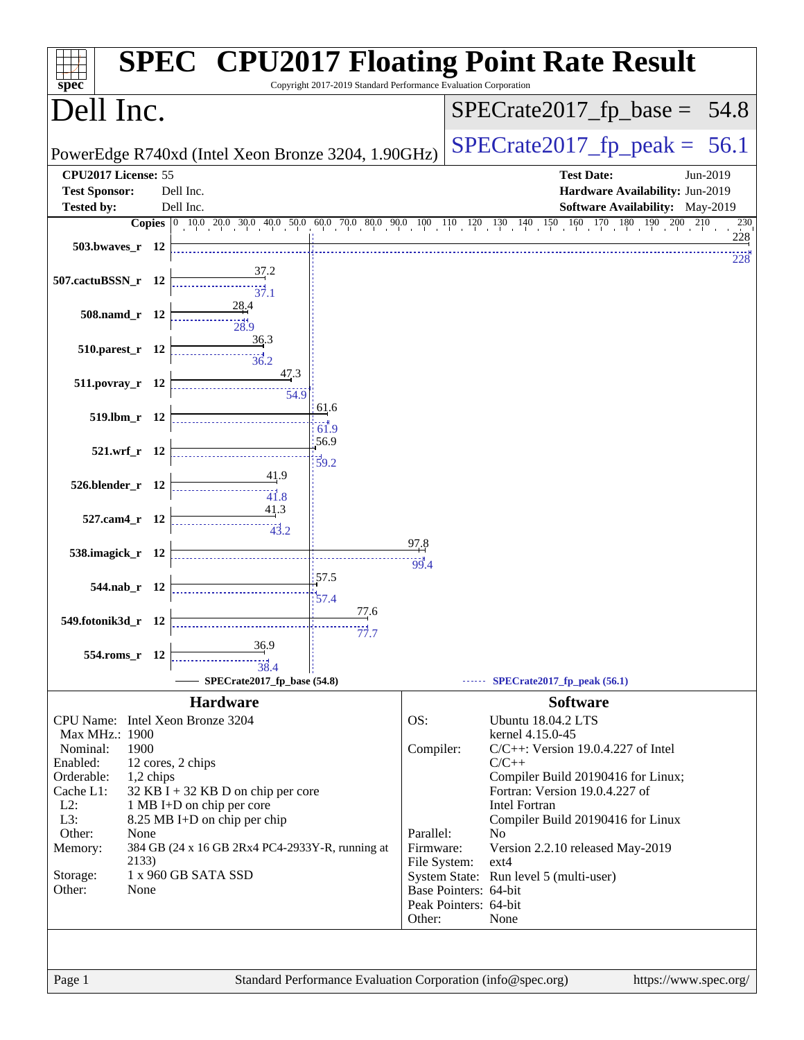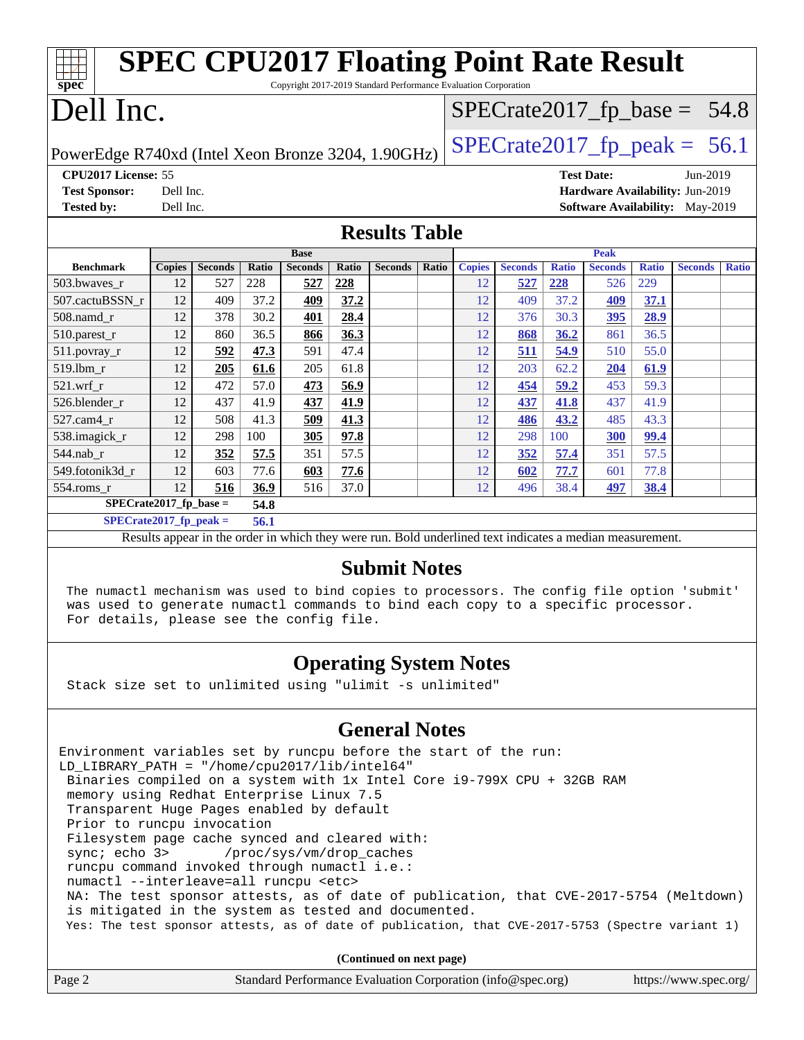| <b>SPEC CPU2017 Floating Point Rate Result</b>                                       |                                   |                |       |                |       |                |       |                                 |                |              |                |                                |                                        |              |
|--------------------------------------------------------------------------------------|-----------------------------------|----------------|-------|----------------|-------|----------------|-------|---------------------------------|----------------|--------------|----------------|--------------------------------|----------------------------------------|--------------|
| spec<br>Copyright 2017-2019 Standard Performance Evaluation Corporation              |                                   |                |       |                |       |                |       |                                 |                |              |                |                                |                                        |              |
| Dell Inc.                                                                            |                                   |                |       |                |       |                |       |                                 |                |              |                | $SPECrate2017_fp\_base = 54.8$ |                                        |              |
| $SPECTate2017$ _fp_peak = 56.1<br>PowerEdge R740xd (Intel Xeon Bronze 3204, 1.90GHz) |                                   |                |       |                |       |                |       |                                 |                |              |                |                                |                                        |              |
| CPU2017 License: 55<br><b>Test Date:</b><br>Jun-2019                                 |                                   |                |       |                |       |                |       |                                 |                |              |                |                                |                                        |              |
| <b>Test Sponsor:</b>                                                                 | Dell Inc.                         |                |       |                |       |                |       | Hardware Availability: Jun-2019 |                |              |                |                                |                                        |              |
| <b>Tested by:</b>                                                                    | Dell Inc.                         |                |       |                |       |                |       |                                 |                |              |                |                                | <b>Software Availability:</b> May-2019 |              |
| <b>Results Table</b>                                                                 |                                   |                |       |                |       |                |       |                                 |                |              |                |                                |                                        |              |
| <b>Base</b>                                                                          |                                   |                |       |                |       |                | Peak  |                                 |                |              |                |                                |                                        |              |
| <b>Benchmark</b>                                                                     | <b>Copies</b>                     | <b>Seconds</b> | Ratio | <b>Seconds</b> | Ratio | <b>Seconds</b> | Ratio | <b>Copies</b>                   | <b>Seconds</b> | <b>Ratio</b> | <b>Seconds</b> | <b>Ratio</b>                   | <b>Seconds</b>                         | <b>Ratio</b> |
| 503.bwaves_r                                                                         | 12                                | 527            | 228   | 527            | 228   |                |       | 12                              | 527            | 228          | 526            | 229                            |                                        |              |
| 507.cactuBSSN r                                                                      | 12                                | 409            | 37.2  | 409            | 37.2  |                |       | 12                              | 409            | 37.2         | 409            | 37.1                           |                                        |              |
| 508.namd r                                                                           | 12                                | 378            | 30.2  | 401            | 28.4  |                |       | 12                              | 376            | 30.3         | 395            | 28.9                           |                                        |              |
| $510.parest_r$                                                                       | 12                                | 860            | 36.5  | 866            | 36.3  |                |       | 12                              | 868            | 36.2         | 861            | 36.5                           |                                        |              |
| 511.povray_r                                                                         | 12                                | 592            | 47.3  | 591            | 47.4  |                |       | 12                              | 511            | 54.9         | 510            | 55.0                           |                                        |              |
| 519.lbm r                                                                            | 12                                | 205            | 61.6  | 205            | 61.8  |                |       | 12                              | 203            | 62.2         | 204            | 61.9                           |                                        |              |
| $521.wrf$ r                                                                          | 12                                | 472            | 57.0  | 473            | 56.9  |                |       | 12                              | 454            | 59.2         | 453            | 59.3                           |                                        |              |
| 526.blender r                                                                        | 12                                | 437            | 41.9  | 437            | 41.9  |                |       | 12                              | 437            | 41.8         | 437            | 41.9                           |                                        |              |
| 527.cam4 r                                                                           | 12                                | 508            | 41.3  | 509            | 41.3  |                |       | 12                              | 486            | 43.2         | 485            | 43.3                           |                                        |              |
| 538.imagick_r                                                                        | 12                                | 298            | 100   | 305            | 97.8  |                |       | 12                              | 298            | 100          | <b>300</b>     | 99.4                           |                                        |              |
| 544.nab r                                                                            | 12                                | 352            | 57.5  | 351            | 57.5  |                |       | 12                              | 352            | 57.4         | 351            | 57.5                           |                                        |              |
| 549.fotonik3d r                                                                      | 12                                | 603            | 77.6  | 603            | 77.6  |                |       | 12                              | 602            | 77.7         | 601            | 77.8                           |                                        |              |
| 554.roms_r                                                                           | 12                                | 516            | 36.9  | 516            | 37.0  |                |       | 12                              | 496            | 38.4         | 497            | 38.4                           |                                        |              |
| $SPECrate2017_fp\_base =$<br>54.8                                                    |                                   |                |       |                |       |                |       |                                 |                |              |                |                                |                                        |              |
|                                                                                      | $SPECrate2017_fp\_peak =$<br>56.1 |                |       |                |       |                |       |                                 |                |              |                |                                |                                        |              |

Results appear in the [order in which they were run.](http://www.spec.org/auto/cpu2017/Docs/result-fields.html#RunOrder) Bold underlined text [indicates a median measurement.](http://www.spec.org/auto/cpu2017/Docs/result-fields.html#Median)

#### **[Submit Notes](http://www.spec.org/auto/cpu2017/Docs/result-fields.html#SubmitNotes)**

 The numactl mechanism was used to bind copies to processors. The config file option 'submit' was used to generate numactl commands to bind each copy to a specific processor. For details, please see the config file.

## **[Operating System Notes](http://www.spec.org/auto/cpu2017/Docs/result-fields.html#OperatingSystemNotes)**

Stack size set to unlimited using "ulimit -s unlimited"

## **[General Notes](http://www.spec.org/auto/cpu2017/Docs/result-fields.html#GeneralNotes)**

Environment variables set by runcpu before the start of the run: LD\_LIBRARY\_PATH = "/home/cpu2017/lib/intel64" Binaries compiled on a system with 1x Intel Core i9-799X CPU + 32GB RAM memory using Redhat Enterprise Linux 7.5 Transparent Huge Pages enabled by default Prior to runcpu invocation Filesystem page cache synced and cleared with: sync; echo 3> /proc/sys/vm/drop\_caches runcpu command invoked through numactl i.e.: numactl --interleave=all runcpu <etc> NA: The test sponsor attests, as of date of publication, that CVE-2017-5754 (Meltdown) is mitigated in the system as tested and documented. Yes: The test sponsor attests, as of date of publication, that CVE-2017-5753 (Spectre variant 1)

**(Continued on next page)**

| Page 2<br>Standard Performance Evaluation Corporation (info@spec.org)<br>https://www.spec.org/ |
|------------------------------------------------------------------------------------------------|
|------------------------------------------------------------------------------------------------|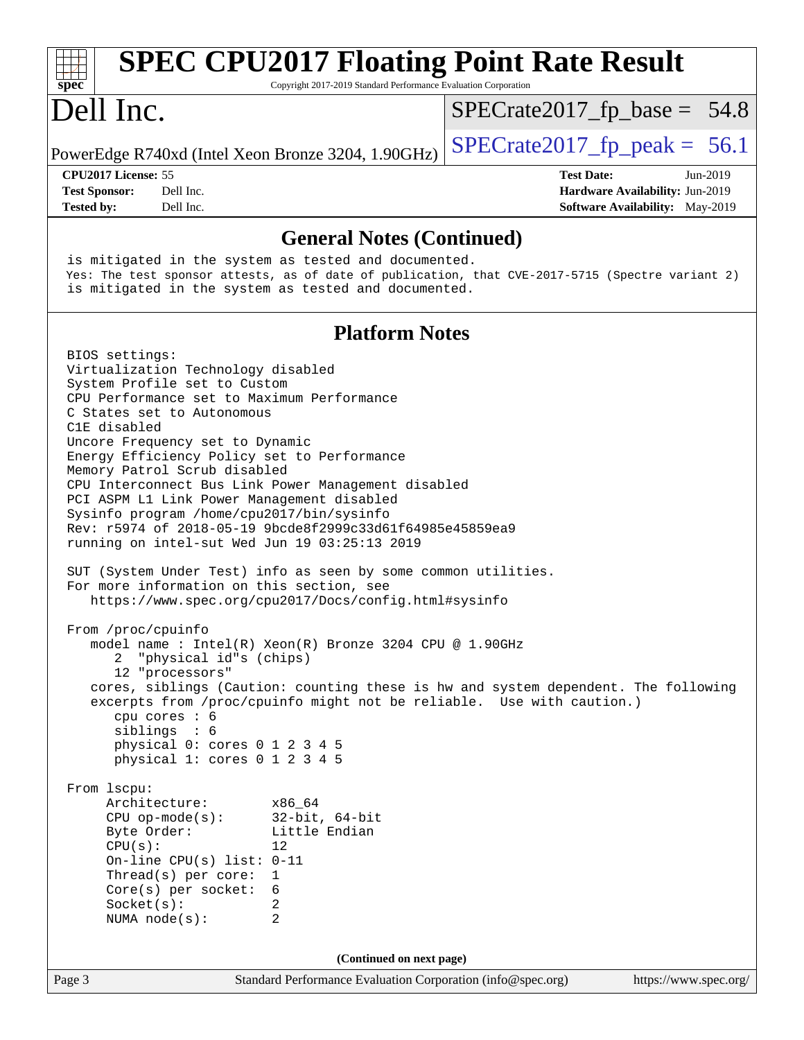| <b>SPEC CPU2017 Floating Point Rate Result</b><br>spec<br>Copyright 2017-2019 Standard Performance Evaluation Corporation                                                                                                                                                                                                                                                                                                                                                                                                                                                                                                                                                                                                                                                                                                                                                                                                                                                                                                                                                                                                                                                                                                                                                                                                                                                                                                                    |                                                                                                            |  |  |  |  |  |  |
|----------------------------------------------------------------------------------------------------------------------------------------------------------------------------------------------------------------------------------------------------------------------------------------------------------------------------------------------------------------------------------------------------------------------------------------------------------------------------------------------------------------------------------------------------------------------------------------------------------------------------------------------------------------------------------------------------------------------------------------------------------------------------------------------------------------------------------------------------------------------------------------------------------------------------------------------------------------------------------------------------------------------------------------------------------------------------------------------------------------------------------------------------------------------------------------------------------------------------------------------------------------------------------------------------------------------------------------------------------------------------------------------------------------------------------------------|------------------------------------------------------------------------------------------------------------|--|--|--|--|--|--|
| Dell Inc.                                                                                                                                                                                                                                                                                                                                                                                                                                                                                                                                                                                                                                                                                                                                                                                                                                                                                                                                                                                                                                                                                                                                                                                                                                                                                                                                                                                                                                    | $SPECrate2017_fp\_base = 54.8$                                                                             |  |  |  |  |  |  |
| PowerEdge R740xd (Intel Xeon Bronze 3204, 1.90GHz)                                                                                                                                                                                                                                                                                                                                                                                                                                                                                                                                                                                                                                                                                                                                                                                                                                                                                                                                                                                                                                                                                                                                                                                                                                                                                                                                                                                           | $SPECrate2017_fp\_peak = 56.1$                                                                             |  |  |  |  |  |  |
| CPU2017 License: 55<br><b>Test Sponsor:</b><br>Dell Inc.<br><b>Tested by:</b><br>Dell Inc.                                                                                                                                                                                                                                                                                                                                                                                                                                                                                                                                                                                                                                                                                                                                                                                                                                                                                                                                                                                                                                                                                                                                                                                                                                                                                                                                                   | <b>Test Date:</b><br>Jun-2019<br>Hardware Availability: Jun-2019<br><b>Software Availability:</b> May-2019 |  |  |  |  |  |  |
| <b>General Notes (Continued)</b>                                                                                                                                                                                                                                                                                                                                                                                                                                                                                                                                                                                                                                                                                                                                                                                                                                                                                                                                                                                                                                                                                                                                                                                                                                                                                                                                                                                                             |                                                                                                            |  |  |  |  |  |  |
| is mitigated in the system as tested and documented.<br>Yes: The test sponsor attests, as of date of publication, that CVE-2017-5715 (Spectre variant 2)<br>is mitigated in the system as tested and documented.                                                                                                                                                                                                                                                                                                                                                                                                                                                                                                                                                                                                                                                                                                                                                                                                                                                                                                                                                                                                                                                                                                                                                                                                                             |                                                                                                            |  |  |  |  |  |  |
| <b>Platform Notes</b>                                                                                                                                                                                                                                                                                                                                                                                                                                                                                                                                                                                                                                                                                                                                                                                                                                                                                                                                                                                                                                                                                                                                                                                                                                                                                                                                                                                                                        |                                                                                                            |  |  |  |  |  |  |
| BIOS settings:<br>Virtualization Technology disabled<br>System Profile set to Custom<br>CPU Performance set to Maximum Performance<br>C States set to Autonomous<br>C1E disabled<br>Uncore Frequency set to Dynamic<br>Energy Efficiency Policy set to Performance<br>Memory Patrol Scrub disabled<br>CPU Interconnect Bus Link Power Management disabled<br>PCI ASPM L1 Link Power Management disabled<br>Sysinfo program /home/cpu2017/bin/sysinfo<br>Rev: r5974 of 2018-05-19 9bcde8f2999c33d61f64985e45859ea9<br>running on intel-sut Wed Jun 19 03:25:13 2019<br>SUT (System Under Test) info as seen by some common utilities.<br>For more information on this section, see<br>https://www.spec.org/cpu2017/Docs/config.html#sysinfo<br>From /proc/cpuinfo<br>model name : Intel(R) Xeon(R) Bronze 3204 CPU @ 1.90GHz<br>"physical id"s (chips)<br>2<br>12 "processors"<br>cores, siblings (Caution: counting these is hw and system dependent. The following<br>excerpts from /proc/cpuinfo might not be reliable. Use with caution.)<br>cpu cores : 6<br>siblings : 6<br>physical 0: cores 0 1 2 3 4 5<br>physical 1: cores 0 1 2 3 4 5<br>From 1scpu:<br>Architecture:<br>x86_64<br>$32$ -bit, $64$ -bit<br>$CPU$ op-mode( $s$ ):<br>Byte Order:<br>Little Endian<br>CPU(s):<br>12<br>On-line CPU(s) list: $0-11$<br>Thread(s) per core:<br>1<br>$Core(s)$ per socket:<br>6<br>Socket(s):<br>2<br>$\overline{2}$<br>NUMA $node(s):$ |                                                                                                            |  |  |  |  |  |  |
| (Continued on next page)                                                                                                                                                                                                                                                                                                                                                                                                                                                                                                                                                                                                                                                                                                                                                                                                                                                                                                                                                                                                                                                                                                                                                                                                                                                                                                                                                                                                                     |                                                                                                            |  |  |  |  |  |  |
| Standard Performance Evaluation Corporation (info@spec.org)<br>Page 3                                                                                                                                                                                                                                                                                                                                                                                                                                                                                                                                                                                                                                                                                                                                                                                                                                                                                                                                                                                                                                                                                                                                                                                                                                                                                                                                                                        | https://www.spec.org/                                                                                      |  |  |  |  |  |  |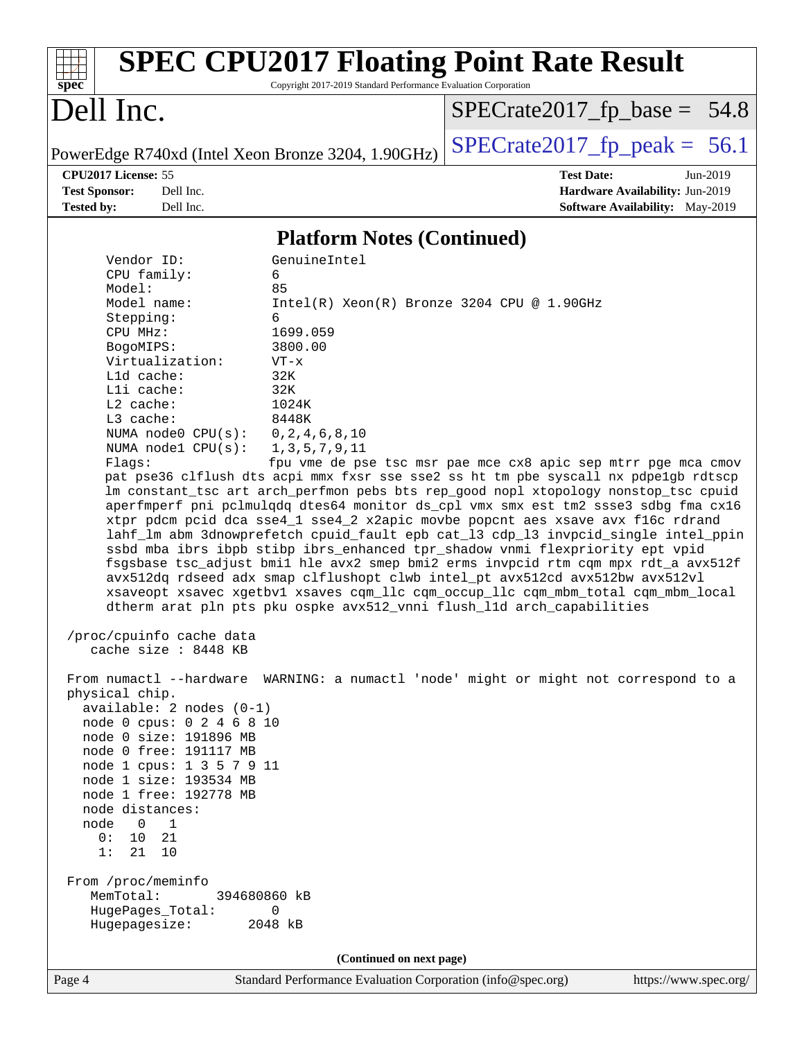

Page 4 Standard Performance Evaluation Corporation [\(info@spec.org\)](mailto:info@spec.org) <https://www.spec.org/>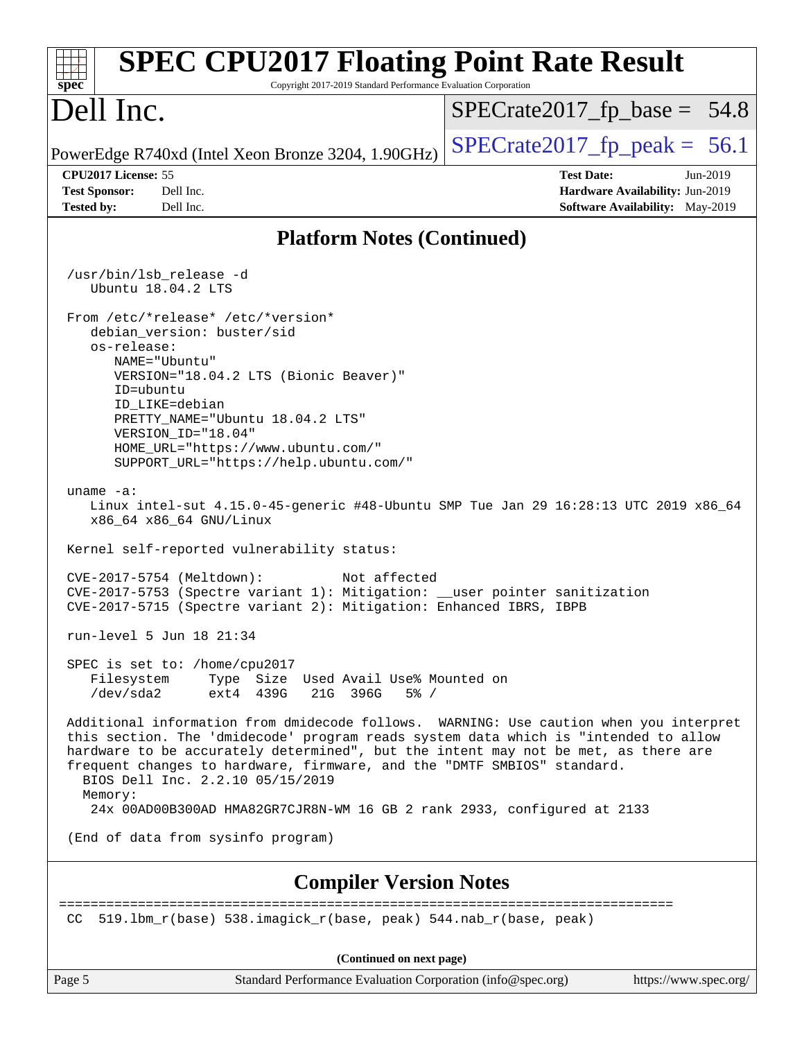| <b>SPEC CPU2017 Floating Point Rate Result</b><br>Copyright 2017-2019 Standard Performance Evaluation Corporation<br>spec <sup>®</sup>                                                                                                                                                                                                                                             |                                                                                                            |
|------------------------------------------------------------------------------------------------------------------------------------------------------------------------------------------------------------------------------------------------------------------------------------------------------------------------------------------------------------------------------------|------------------------------------------------------------------------------------------------------------|
| Dell Inc.                                                                                                                                                                                                                                                                                                                                                                          | $SPECrate2017_fp\_base = 54.8$                                                                             |
| PowerEdge R740xd (Intel Xeon Bronze 3204, 1.90GHz)                                                                                                                                                                                                                                                                                                                                 | $SPECrate2017fr peak = 56.1$                                                                               |
| CPU2017 License: 55<br><b>Test Sponsor:</b><br>Dell Inc.<br>Dell Inc.<br><b>Tested by:</b>                                                                                                                                                                                                                                                                                         | <b>Test Date:</b><br>Jun-2019<br>Hardware Availability: Jun-2019<br><b>Software Availability:</b> May-2019 |
| <b>Platform Notes (Continued)</b>                                                                                                                                                                                                                                                                                                                                                  |                                                                                                            |
| /usr/bin/lsb_release -d<br>Ubuntu 18.04.2 LTS                                                                                                                                                                                                                                                                                                                                      |                                                                                                            |
| From /etc/*release* /etc/*version*<br>debian_version: buster/sid<br>os-release:<br>NAME="Ubuntu"<br>VERSION="18.04.2 LTS (Bionic Beaver)"<br>ID=ubuntu<br>ID LIKE=debian<br>PRETTY_NAME="Ubuntu 18.04.2 LTS"<br>VERSION ID="18.04"<br>HOME_URL="https://www.ubuntu.com/"<br>SUPPORT_URL="https://help.ubuntu.com/"                                                                 |                                                                                                            |
| uname $-a$ :<br>Linux intel-sut 4.15.0-45-generic #48-Ubuntu SMP Tue Jan 29 16:28:13 UTC 2019 x86_64<br>x86_64 x86_64 GNU/Linux<br>Kernel self-reported vulnerability status:                                                                                                                                                                                                      |                                                                                                            |
| CVE-2017-5754 (Meltdown):<br>Not affected<br>CVE-2017-5753 (Spectre variant 1): Mitigation: __user pointer sanitization<br>CVE-2017-5715 (Spectre variant 2): Mitigation: Enhanced IBRS, IBPB                                                                                                                                                                                      |                                                                                                            |
| run-level 5 Jun 18 21:34                                                                                                                                                                                                                                                                                                                                                           |                                                                                                            |
| SPEC is set to: /home/cpu2017<br>Type Size Used Avail Use% Mounted on<br>Filesystem<br>/dev/sda2<br>ext4 439G<br>21G 396G<br>$5\%$ /                                                                                                                                                                                                                                               |                                                                                                            |
| Additional information from dmidecode follows. WARNING: Use caution when you interpret<br>this section. The 'dmidecode' program reads system data which is "intended to allow<br>hardware to be accurately determined", but the intent may not be met, as there are<br>frequent changes to hardware, firmware, and the "DMTF SMBIOS" standard.<br>BIOS Dell Inc. 2.2.10 05/15/2019 |                                                                                                            |
| Memory:<br>24x 00AD00B300AD HMA82GR7CJR8N-WM 16 GB 2 rank 2933, configured at 2133                                                                                                                                                                                                                                                                                                 |                                                                                                            |
| (End of data from sysinfo program)                                                                                                                                                                                                                                                                                                                                                 |                                                                                                            |
| <b>Compiler Version Notes</b>                                                                                                                                                                                                                                                                                                                                                      |                                                                                                            |
| 519.1bm_r(base) 538.imagick_r(base, peak) 544.nab_r(base, peak)<br>CC                                                                                                                                                                                                                                                                                                              |                                                                                                            |
| (Continued on next page)                                                                                                                                                                                                                                                                                                                                                           |                                                                                                            |
| Standard Performance Evaluation Corporation (info@spec.org)<br>Page 5                                                                                                                                                                                                                                                                                                              | https://www.spec.org/                                                                                      |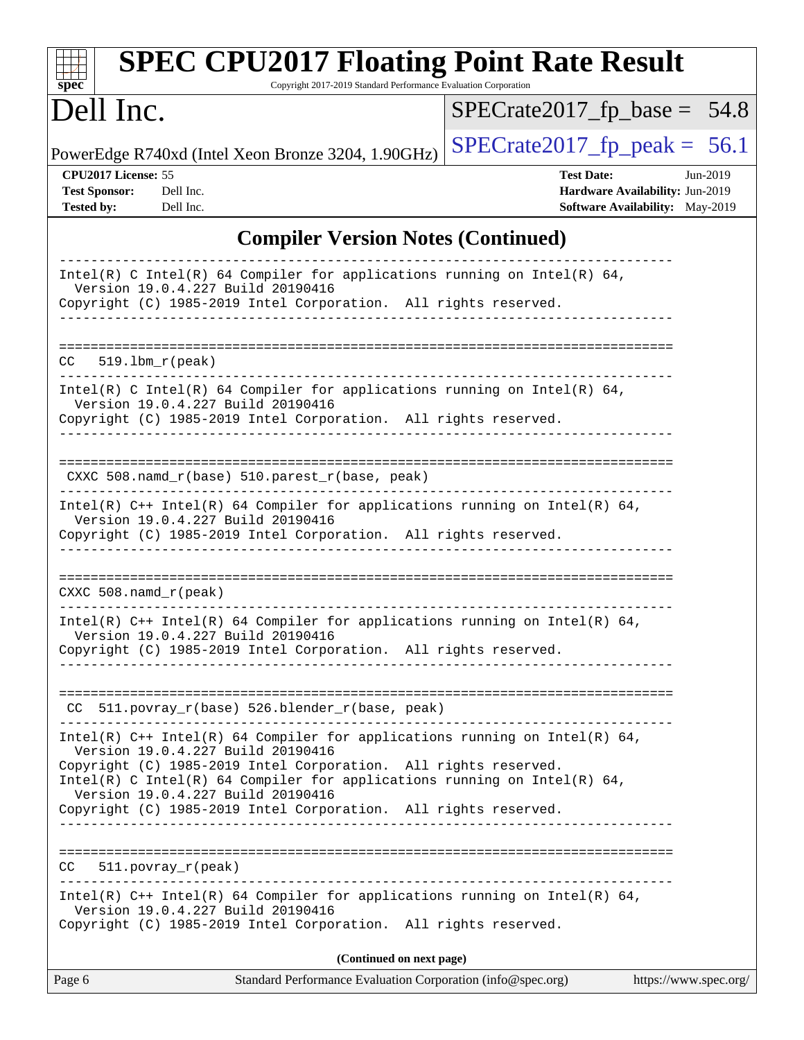| <b>SPEC CPU2017 Floating Point Rate Result</b><br>Copyright 2017-2019 Standard Performance Evaluation Corporation<br>spec <sup>®</sup>                                                                                                                                                                |                                                                                                              |  |  |  |  |
|-------------------------------------------------------------------------------------------------------------------------------------------------------------------------------------------------------------------------------------------------------------------------------------------------------|--------------------------------------------------------------------------------------------------------------|--|--|--|--|
| Dell Inc.                                                                                                                                                                                                                                                                                             | $SPECrate2017_fp\_base = 54.8$                                                                               |  |  |  |  |
| PowerEdge R740xd (Intel Xeon Bronze 3204, 1.90GHz)                                                                                                                                                                                                                                                    | $SPECrate2017_fp\_peak = 56.1$                                                                               |  |  |  |  |
| CPU2017 License: 55<br><b>Test Sponsor:</b><br>Dell Inc.<br><b>Tested by:</b><br>Dell Inc.                                                                                                                                                                                                            | <b>Test Date:</b><br>$Jun-2019$<br>Hardware Availability: Jun-2019<br><b>Software Availability:</b> May-2019 |  |  |  |  |
| <b>Compiler Version Notes (Continued)</b>                                                                                                                                                                                                                                                             |                                                                                                              |  |  |  |  |
| Intel(R) C Intel(R) 64 Compiler for applications running on Intel(R) 64,<br>Version 19.0.4.227 Build 20190416<br>Copyright (C) 1985-2019 Intel Corporation. All rights reserved.<br>--------------------------------                                                                                  |                                                                                                              |  |  |  |  |
| CC<br>$519.1bm_r(peak)$                                                                                                                                                                                                                                                                               |                                                                                                              |  |  |  |  |
| $Intel(R)$ C Intel(R) 64 Compiler for applications running on Intel(R) 64,<br>Version 19.0.4.227 Build 20190416<br>Copyright (C) 1985-2019 Intel Corporation. All rights reserved.                                                                                                                    |                                                                                                              |  |  |  |  |
| $CXXC 508.namd_r(base) 510.parest_r(base, peak)$<br>Intel(R) $C++$ Intel(R) 64 Compiler for applications running on Intel(R) 64,                                                                                                                                                                      |                                                                                                              |  |  |  |  |
| Version 19.0.4.227 Build 20190416<br>Copyright (C) 1985-2019 Intel Corporation. All rights reserved.                                                                                                                                                                                                  |                                                                                                              |  |  |  |  |
| CXXC $508.namd_r(peak)$                                                                                                                                                                                                                                                                               |                                                                                                              |  |  |  |  |
| Intel(R) $C++$ Intel(R) 64 Compiler for applications running on Intel(R) 64,<br>Version 19.0.4.227 Build 20190416<br>Copyright (C) 1985-2019 Intel Corporation. All rights reserved.                                                                                                                  |                                                                                                              |  |  |  |  |
| CC 511.povray_r(base) 526.blender_r(base, peak)                                                                                                                                                                                                                                                       |                                                                                                              |  |  |  |  |
| Intel(R) $C++$ Intel(R) 64 Compiler for applications running on Intel(R) 64,<br>Version 19.0.4.227 Build 20190416<br>Copyright (C) 1985-2019 Intel Corporation. All rights reserved.<br>Intel(R) C Intel(R) 64 Compiler for applications running on Intel(R) 64,<br>Version 19.0.4.227 Build 20190416 |                                                                                                              |  |  |  |  |
| Copyright (C) 1985-2019 Intel Corporation. All rights reserved.<br>511.povray_r(peak)<br>CC.                                                                                                                                                                                                          |                                                                                                              |  |  |  |  |
| Intel(R) $C++$ Intel(R) 64 Compiler for applications running on Intel(R) 64,<br>Version 19.0.4.227 Build 20190416<br>Copyright (C) 1985-2019 Intel Corporation. All rights reserved.                                                                                                                  |                                                                                                              |  |  |  |  |
| (Continued on next page)                                                                                                                                                                                                                                                                              |                                                                                                              |  |  |  |  |
| Page 6<br>Standard Performance Evaluation Corporation (info@spec.org)                                                                                                                                                                                                                                 | https://www.spec.org/                                                                                        |  |  |  |  |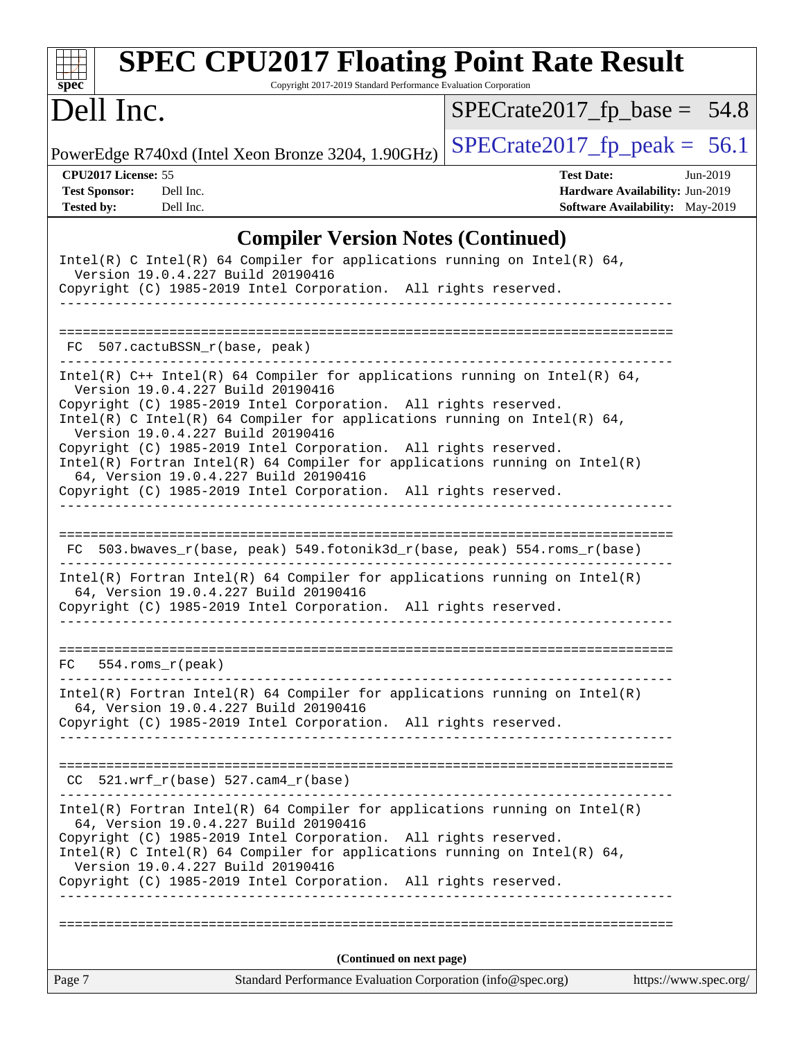| <b>SPEC CPU2017 Floating Point Rate Result</b><br>Copyright 2017-2019 Standard Performance Evaluation Corporation<br>$spec^*$                                                                                                                                                                                                                                                                                                                                                                                                                                        |                                                                                                            |  |  |  |  |  |
|----------------------------------------------------------------------------------------------------------------------------------------------------------------------------------------------------------------------------------------------------------------------------------------------------------------------------------------------------------------------------------------------------------------------------------------------------------------------------------------------------------------------------------------------------------------------|------------------------------------------------------------------------------------------------------------|--|--|--|--|--|
| Dell Inc.                                                                                                                                                                                                                                                                                                                                                                                                                                                                                                                                                            | $SPECrate2017_fp\_base = 54.8$                                                                             |  |  |  |  |  |
| PowerEdge R740xd (Intel Xeon Bronze 3204, 1.90GHz)                                                                                                                                                                                                                                                                                                                                                                                                                                                                                                                   | $SPECrate2017_fp\_peak = 56.1$                                                                             |  |  |  |  |  |
| CPU2017 License: 55<br><b>Test Sponsor:</b><br>Dell Inc.<br><b>Tested by:</b><br>Dell Inc.                                                                                                                                                                                                                                                                                                                                                                                                                                                                           | <b>Test Date:</b><br>Jun-2019<br>Hardware Availability: Jun-2019<br><b>Software Availability:</b> May-2019 |  |  |  |  |  |
| <b>Compiler Version Notes (Continued)</b>                                                                                                                                                                                                                                                                                                                                                                                                                                                                                                                            |                                                                                                            |  |  |  |  |  |
| Intel(R) C Intel(R) 64 Compiler for applications running on Intel(R) 64,<br>Version 19.0.4.227 Build 20190416<br>Copyright (C) 1985-2019 Intel Corporation. All rights reserved.<br>.                                                                                                                                                                                                                                                                                                                                                                                |                                                                                                            |  |  |  |  |  |
| FC 507.cactuBSSN r(base, peak)                                                                                                                                                                                                                                                                                                                                                                                                                                                                                                                                       |                                                                                                            |  |  |  |  |  |
| Intel(R) $C++$ Intel(R) 64 Compiler for applications running on Intel(R) 64,<br>Version 19.0.4.227 Build 20190416<br>Copyright (C) 1985-2019 Intel Corporation. All rights reserved.<br>Intel(R) C Intel(R) 64 Compiler for applications running on Intel(R) 64,<br>Version 19.0.4.227 Build 20190416<br>Copyright (C) 1985-2019 Intel Corporation. All rights reserved.<br>$Intel(R)$ Fortran Intel(R) 64 Compiler for applications running on Intel(R)<br>64, Version 19.0.4.227 Build 20190416<br>Copyright (C) 1985-2019 Intel Corporation. All rights reserved. |                                                                                                            |  |  |  |  |  |
| 503.bwaves_r(base, peak) 549.fotonik3d_r(base, peak) 554.roms_r(base)<br>FC.<br>$Intel(R)$ Fortran Intel(R) 64 Compiler for applications running on Intel(R)<br>64, Version 19.0.4.227 Build 20190416                                                                                                                                                                                                                                                                                                                                                                |                                                                                                            |  |  |  |  |  |
| Copyright (C) 1985-2019 Intel Corporation. All rights reserved.<br>$554$ .roms $r$ (peak)<br>FC<br>$Intel(R)$ Fortran Intel(R) 64 Compiler for applications running on Intel(R)                                                                                                                                                                                                                                                                                                                                                                                      |                                                                                                            |  |  |  |  |  |
| 64, Version 19.0.4.227 Build 20190416<br>Copyright (C) 1985-2019 Intel Corporation. All rights reserved.<br>----------------<br>$521.wrf_r(base) 527.cam4_r(base)$<br>CC.                                                                                                                                                                                                                                                                                                                                                                                            |                                                                                                            |  |  |  |  |  |
| $Intel(R)$ Fortran Intel(R) 64 Compiler for applications running on Intel(R)<br>64, Version 19.0.4.227 Build 20190416<br>Copyright (C) 1985-2019 Intel Corporation. All rights reserved.<br>Intel(R) C Intel(R) 64 Compiler for applications running on Intel(R) 64,<br>Version 19.0.4.227 Build 20190416<br>Copyright (C) 1985-2019 Intel Corporation. All rights reserved.                                                                                                                                                                                         |                                                                                                            |  |  |  |  |  |
|                                                                                                                                                                                                                                                                                                                                                                                                                                                                                                                                                                      |                                                                                                            |  |  |  |  |  |
| (Continued on next page)                                                                                                                                                                                                                                                                                                                                                                                                                                                                                                                                             |                                                                                                            |  |  |  |  |  |
| Page 7<br>Standard Performance Evaluation Corporation (info@spec.org)                                                                                                                                                                                                                                                                                                                                                                                                                                                                                                | https://www.spec.org/                                                                                      |  |  |  |  |  |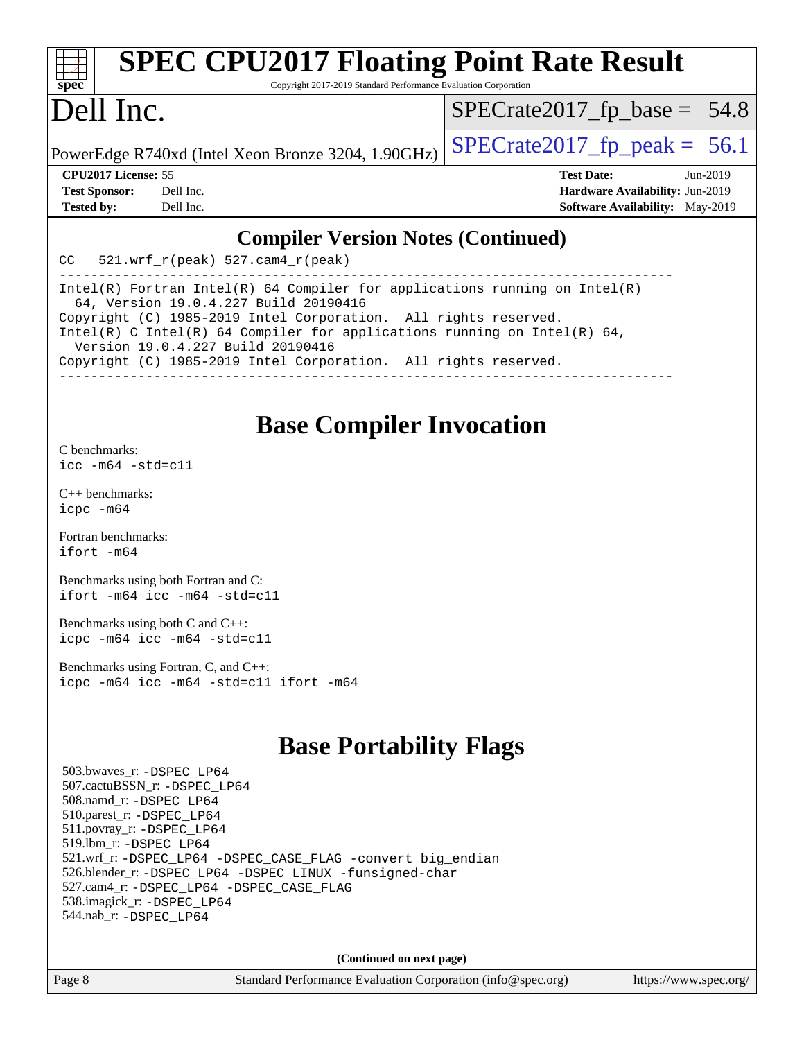| <b>SPEC CPU2017 Floating Point Rate Result</b><br>$spec^*$<br>Copyright 2017-2019 Standard Performance Evaluation Corporation |            |
|-------------------------------------------------------------------------------------------------------------------------------|------------|
|                                                                                                                               |            |
| Dell Inc.<br>$SPECrate2017_fp\_base = 54.8$                                                                                   |            |
| $SPECrate2017_fp\_peak = 56.1$<br>PowerEdge R740xd (Intel Xeon Bronze 3204, 1.90GHz)                                          |            |
| <b>CPU2017 License: 55</b><br><b>Test Date:</b>                                                                               | $Jun-2019$ |
| Hardware Availability: Jun-2019<br><b>Test Sponsor:</b><br>Dell Inc.                                                          |            |
| <b>Software Availability:</b> May-2019<br><b>Tested by:</b><br>Dell Inc.                                                      |            |
| <b>Compiler Version Notes (Continued)</b><br>$521. wrf_r(peak) 527. cam4_r(peak)$<br><b>CC</b>                                |            |

------------------------------------------------------------------------------ Intel(R) Fortran Intel(R) 64 Compiler for applications running on Intel(R) 64, Version 19.0.4.227 Build 20190416 Copyright (C) 1985-2019 Intel Corporation. All rights reserved. Intel(R) C Intel(R) 64 Compiler for applications running on Intel(R)  $64$ , Version 19.0.4.227 Build 20190416 Copyright (C) 1985-2019 Intel Corporation. All rights reserved. ------------------------------------------------------------------------------

## **[Base Compiler Invocation](http://www.spec.org/auto/cpu2017/Docs/result-fields.html#BaseCompilerInvocation)**

[C benchmarks](http://www.spec.org/auto/cpu2017/Docs/result-fields.html#Cbenchmarks): [icc -m64 -std=c11](http://www.spec.org/cpu2017/results/res2019q3/cpu2017-20190624-15469.flags.html#user_CCbase_intel_icc_64bit_c11_33ee0cdaae7deeeab2a9725423ba97205ce30f63b9926c2519791662299b76a0318f32ddfffdc46587804de3178b4f9328c46fa7c2b0cd779d7a61945c91cd35)

[C++ benchmarks:](http://www.spec.org/auto/cpu2017/Docs/result-fields.html#CXXbenchmarks) [icpc -m64](http://www.spec.org/cpu2017/results/res2019q3/cpu2017-20190624-15469.flags.html#user_CXXbase_intel_icpc_64bit_4ecb2543ae3f1412ef961e0650ca070fec7b7afdcd6ed48761b84423119d1bf6bdf5cad15b44d48e7256388bc77273b966e5eb805aefd121eb22e9299b2ec9d9)

[Fortran benchmarks](http://www.spec.org/auto/cpu2017/Docs/result-fields.html#Fortranbenchmarks): [ifort -m64](http://www.spec.org/cpu2017/results/res2019q3/cpu2017-20190624-15469.flags.html#user_FCbase_intel_ifort_64bit_24f2bb282fbaeffd6157abe4f878425411749daecae9a33200eee2bee2fe76f3b89351d69a8130dd5949958ce389cf37ff59a95e7a40d588e8d3a57e0c3fd751)

[Benchmarks using both Fortran and C](http://www.spec.org/auto/cpu2017/Docs/result-fields.html#BenchmarksusingbothFortranandC): [ifort -m64](http://www.spec.org/cpu2017/results/res2019q3/cpu2017-20190624-15469.flags.html#user_CC_FCbase_intel_ifort_64bit_24f2bb282fbaeffd6157abe4f878425411749daecae9a33200eee2bee2fe76f3b89351d69a8130dd5949958ce389cf37ff59a95e7a40d588e8d3a57e0c3fd751) [icc -m64 -std=c11](http://www.spec.org/cpu2017/results/res2019q3/cpu2017-20190624-15469.flags.html#user_CC_FCbase_intel_icc_64bit_c11_33ee0cdaae7deeeab2a9725423ba97205ce30f63b9926c2519791662299b76a0318f32ddfffdc46587804de3178b4f9328c46fa7c2b0cd779d7a61945c91cd35)

[Benchmarks using both C and C++](http://www.spec.org/auto/cpu2017/Docs/result-fields.html#BenchmarksusingbothCandCXX): [icpc -m64](http://www.spec.org/cpu2017/results/res2019q3/cpu2017-20190624-15469.flags.html#user_CC_CXXbase_intel_icpc_64bit_4ecb2543ae3f1412ef961e0650ca070fec7b7afdcd6ed48761b84423119d1bf6bdf5cad15b44d48e7256388bc77273b966e5eb805aefd121eb22e9299b2ec9d9) [icc -m64 -std=c11](http://www.spec.org/cpu2017/results/res2019q3/cpu2017-20190624-15469.flags.html#user_CC_CXXbase_intel_icc_64bit_c11_33ee0cdaae7deeeab2a9725423ba97205ce30f63b9926c2519791662299b76a0318f32ddfffdc46587804de3178b4f9328c46fa7c2b0cd779d7a61945c91cd35)

[Benchmarks using Fortran, C, and C++:](http://www.spec.org/auto/cpu2017/Docs/result-fields.html#BenchmarksusingFortranCandCXX) [icpc -m64](http://www.spec.org/cpu2017/results/res2019q3/cpu2017-20190624-15469.flags.html#user_CC_CXX_FCbase_intel_icpc_64bit_4ecb2543ae3f1412ef961e0650ca070fec7b7afdcd6ed48761b84423119d1bf6bdf5cad15b44d48e7256388bc77273b966e5eb805aefd121eb22e9299b2ec9d9) [icc -m64 -std=c11](http://www.spec.org/cpu2017/results/res2019q3/cpu2017-20190624-15469.flags.html#user_CC_CXX_FCbase_intel_icc_64bit_c11_33ee0cdaae7deeeab2a9725423ba97205ce30f63b9926c2519791662299b76a0318f32ddfffdc46587804de3178b4f9328c46fa7c2b0cd779d7a61945c91cd35) [ifort -m64](http://www.spec.org/cpu2017/results/res2019q3/cpu2017-20190624-15469.flags.html#user_CC_CXX_FCbase_intel_ifort_64bit_24f2bb282fbaeffd6157abe4f878425411749daecae9a33200eee2bee2fe76f3b89351d69a8130dd5949958ce389cf37ff59a95e7a40d588e8d3a57e0c3fd751)

## **[Base Portability Flags](http://www.spec.org/auto/cpu2017/Docs/result-fields.html#BasePortabilityFlags)**

 503.bwaves\_r: [-DSPEC\\_LP64](http://www.spec.org/cpu2017/results/res2019q3/cpu2017-20190624-15469.flags.html#suite_basePORTABILITY503_bwaves_r_DSPEC_LP64) 507.cactuBSSN\_r: [-DSPEC\\_LP64](http://www.spec.org/cpu2017/results/res2019q3/cpu2017-20190624-15469.flags.html#suite_basePORTABILITY507_cactuBSSN_r_DSPEC_LP64) 508.namd\_r: [-DSPEC\\_LP64](http://www.spec.org/cpu2017/results/res2019q3/cpu2017-20190624-15469.flags.html#suite_basePORTABILITY508_namd_r_DSPEC_LP64) 510.parest\_r: [-DSPEC\\_LP64](http://www.spec.org/cpu2017/results/res2019q3/cpu2017-20190624-15469.flags.html#suite_basePORTABILITY510_parest_r_DSPEC_LP64) 511.povray\_r: [-DSPEC\\_LP64](http://www.spec.org/cpu2017/results/res2019q3/cpu2017-20190624-15469.flags.html#suite_basePORTABILITY511_povray_r_DSPEC_LP64) 519.lbm\_r: [-DSPEC\\_LP64](http://www.spec.org/cpu2017/results/res2019q3/cpu2017-20190624-15469.flags.html#suite_basePORTABILITY519_lbm_r_DSPEC_LP64) 521.wrf\_r: [-DSPEC\\_LP64](http://www.spec.org/cpu2017/results/res2019q3/cpu2017-20190624-15469.flags.html#suite_basePORTABILITY521_wrf_r_DSPEC_LP64) [-DSPEC\\_CASE\\_FLAG](http://www.spec.org/cpu2017/results/res2019q3/cpu2017-20190624-15469.flags.html#b521.wrf_r_baseCPORTABILITY_DSPEC_CASE_FLAG) [-convert big\\_endian](http://www.spec.org/cpu2017/results/res2019q3/cpu2017-20190624-15469.flags.html#user_baseFPORTABILITY521_wrf_r_convert_big_endian_c3194028bc08c63ac5d04de18c48ce6d347e4e562e8892b8bdbdc0214820426deb8554edfa529a3fb25a586e65a3d812c835984020483e7e73212c4d31a38223) 526.blender\_r: [-DSPEC\\_LP64](http://www.spec.org/cpu2017/results/res2019q3/cpu2017-20190624-15469.flags.html#suite_basePORTABILITY526_blender_r_DSPEC_LP64) [-DSPEC\\_LINUX](http://www.spec.org/cpu2017/results/res2019q3/cpu2017-20190624-15469.flags.html#b526.blender_r_baseCPORTABILITY_DSPEC_LINUX) [-funsigned-char](http://www.spec.org/cpu2017/results/res2019q3/cpu2017-20190624-15469.flags.html#user_baseCPORTABILITY526_blender_r_force_uchar_40c60f00ab013830e2dd6774aeded3ff59883ba5a1fc5fc14077f794d777847726e2a5858cbc7672e36e1b067e7e5c1d9a74f7176df07886a243d7cc18edfe67) 527.cam4\_r: [-DSPEC\\_LP64](http://www.spec.org/cpu2017/results/res2019q3/cpu2017-20190624-15469.flags.html#suite_basePORTABILITY527_cam4_r_DSPEC_LP64) [-DSPEC\\_CASE\\_FLAG](http://www.spec.org/cpu2017/results/res2019q3/cpu2017-20190624-15469.flags.html#b527.cam4_r_baseCPORTABILITY_DSPEC_CASE_FLAG) 538.imagick\_r: [-DSPEC\\_LP64](http://www.spec.org/cpu2017/results/res2019q3/cpu2017-20190624-15469.flags.html#suite_basePORTABILITY538_imagick_r_DSPEC_LP64) 544.nab\_r: [-DSPEC\\_LP64](http://www.spec.org/cpu2017/results/res2019q3/cpu2017-20190624-15469.flags.html#suite_basePORTABILITY544_nab_r_DSPEC_LP64)

**(Continued on next page)**

Page 8 Standard Performance Evaluation Corporation [\(info@spec.org\)](mailto:info@spec.org) <https://www.spec.org/>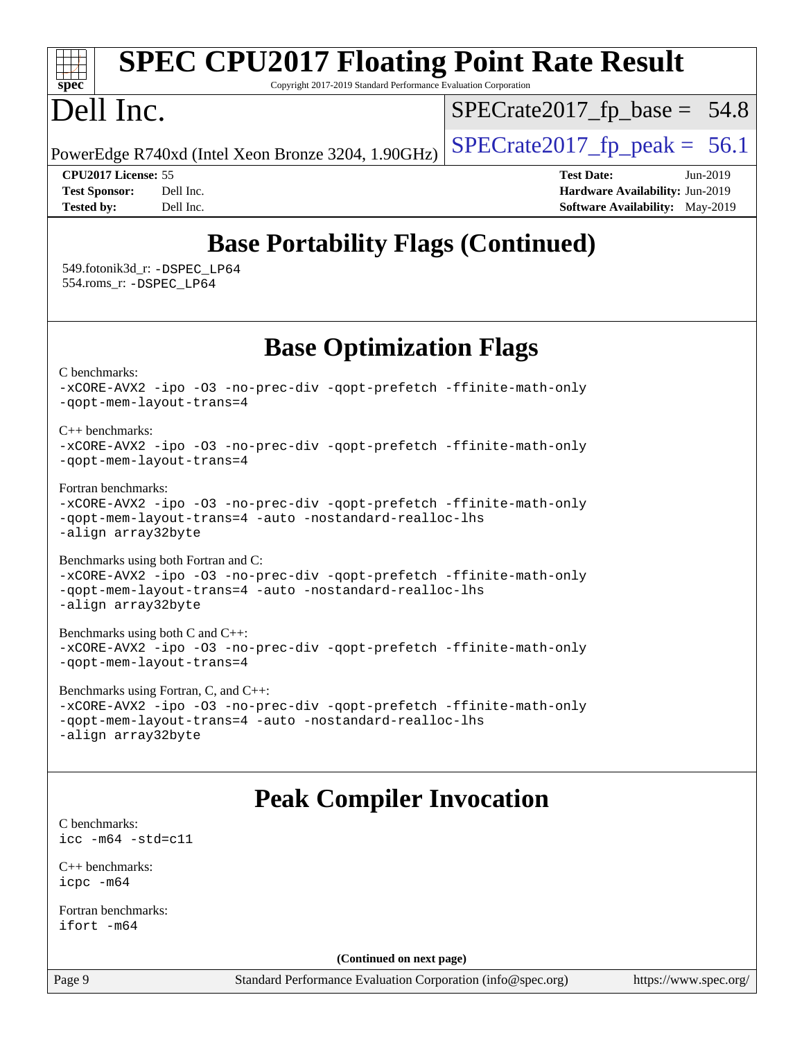#### Page 9 Standard Performance Evaluation Corporation [\(info@spec.org\)](mailto:info@spec.org) <https://www.spec.org/> **[spec](http://www.spec.org/) [SPEC CPU2017 Floating Point Rate Result](http://www.spec.org/auto/cpu2017/Docs/result-fields.html#SPECCPU2017FloatingPointRateResult)** Copyright 2017-2019 Standard Performance Evaluation Corporation Dell Inc. PowerEdge R740xd (Intel Xeon Bronze 3204, 1.90GHz)  $\left|$  [SPECrate2017\\_fp\\_peak =](http://www.spec.org/auto/cpu2017/Docs/result-fields.html#SPECrate2017fppeak) 56.1  $SPECTate2017_fp\_base = 54.8$ **[CPU2017 License:](http://www.spec.org/auto/cpu2017/Docs/result-fields.html#CPU2017License)** 55 **[Test Date:](http://www.spec.org/auto/cpu2017/Docs/result-fields.html#TestDate)** Jun-2019 **[Test Sponsor:](http://www.spec.org/auto/cpu2017/Docs/result-fields.html#TestSponsor)** Dell Inc. **[Hardware Availability:](http://www.spec.org/auto/cpu2017/Docs/result-fields.html#HardwareAvailability)** Jun-2019 **[Tested by:](http://www.spec.org/auto/cpu2017/Docs/result-fields.html#Testedby)** Dell Inc. Dell Inc. **[Software Availability:](http://www.spec.org/auto/cpu2017/Docs/result-fields.html#SoftwareAvailability)** May-2019 **[Base Portability Flags \(Continued\)](http://www.spec.org/auto/cpu2017/Docs/result-fields.html#BasePortabilityFlags)** 549.fotonik3d\_r: [-DSPEC\\_LP64](http://www.spec.org/cpu2017/results/res2019q3/cpu2017-20190624-15469.flags.html#suite_basePORTABILITY549_fotonik3d_r_DSPEC_LP64) 554.roms\_r: [-DSPEC\\_LP64](http://www.spec.org/cpu2017/results/res2019q3/cpu2017-20190624-15469.flags.html#suite_basePORTABILITY554_roms_r_DSPEC_LP64) **[Base Optimization Flags](http://www.spec.org/auto/cpu2017/Docs/result-fields.html#BaseOptimizationFlags)** [C benchmarks](http://www.spec.org/auto/cpu2017/Docs/result-fields.html#Cbenchmarks): [-xCORE-AVX2](http://www.spec.org/cpu2017/results/res2019q3/cpu2017-20190624-15469.flags.html#user_CCbase_f-xCORE-AVX2) [-ipo](http://www.spec.org/cpu2017/results/res2019q3/cpu2017-20190624-15469.flags.html#user_CCbase_f-ipo) [-O3](http://www.spec.org/cpu2017/results/res2019q3/cpu2017-20190624-15469.flags.html#user_CCbase_f-O3) [-no-prec-div](http://www.spec.org/cpu2017/results/res2019q3/cpu2017-20190624-15469.flags.html#user_CCbase_f-no-prec-div) [-qopt-prefetch](http://www.spec.org/cpu2017/results/res2019q3/cpu2017-20190624-15469.flags.html#user_CCbase_f-qopt-prefetch) [-ffinite-math-only](http://www.spec.org/cpu2017/results/res2019q3/cpu2017-20190624-15469.flags.html#user_CCbase_f_finite_math_only_cb91587bd2077682c4b38af759c288ed7c732db004271a9512da14a4f8007909a5f1427ecbf1a0fb78ff2a814402c6114ac565ca162485bbcae155b5e4258871) [-qopt-mem-layout-trans=4](http://www.spec.org/cpu2017/results/res2019q3/cpu2017-20190624-15469.flags.html#user_CCbase_f-qopt-mem-layout-trans_fa39e755916c150a61361b7846f310bcdf6f04e385ef281cadf3647acec3f0ae266d1a1d22d972a7087a248fd4e6ca390a3634700869573d231a252c784941a8) [C++ benchmarks:](http://www.spec.org/auto/cpu2017/Docs/result-fields.html#CXXbenchmarks) [-xCORE-AVX2](http://www.spec.org/cpu2017/results/res2019q3/cpu2017-20190624-15469.flags.html#user_CXXbase_f-xCORE-AVX2) [-ipo](http://www.spec.org/cpu2017/results/res2019q3/cpu2017-20190624-15469.flags.html#user_CXXbase_f-ipo) [-O3](http://www.spec.org/cpu2017/results/res2019q3/cpu2017-20190624-15469.flags.html#user_CXXbase_f-O3) [-no-prec-div](http://www.spec.org/cpu2017/results/res2019q3/cpu2017-20190624-15469.flags.html#user_CXXbase_f-no-prec-div) [-qopt-prefetch](http://www.spec.org/cpu2017/results/res2019q3/cpu2017-20190624-15469.flags.html#user_CXXbase_f-qopt-prefetch) [-ffinite-math-only](http://www.spec.org/cpu2017/results/res2019q3/cpu2017-20190624-15469.flags.html#user_CXXbase_f_finite_math_only_cb91587bd2077682c4b38af759c288ed7c732db004271a9512da14a4f8007909a5f1427ecbf1a0fb78ff2a814402c6114ac565ca162485bbcae155b5e4258871) [-qopt-mem-layout-trans=4](http://www.spec.org/cpu2017/results/res2019q3/cpu2017-20190624-15469.flags.html#user_CXXbase_f-qopt-mem-layout-trans_fa39e755916c150a61361b7846f310bcdf6f04e385ef281cadf3647acec3f0ae266d1a1d22d972a7087a248fd4e6ca390a3634700869573d231a252c784941a8) [Fortran benchmarks](http://www.spec.org/auto/cpu2017/Docs/result-fields.html#Fortranbenchmarks): [-xCORE-AVX2](http://www.spec.org/cpu2017/results/res2019q3/cpu2017-20190624-15469.flags.html#user_FCbase_f-xCORE-AVX2) [-ipo](http://www.spec.org/cpu2017/results/res2019q3/cpu2017-20190624-15469.flags.html#user_FCbase_f-ipo) [-O3](http://www.spec.org/cpu2017/results/res2019q3/cpu2017-20190624-15469.flags.html#user_FCbase_f-O3) [-no-prec-div](http://www.spec.org/cpu2017/results/res2019q3/cpu2017-20190624-15469.flags.html#user_FCbase_f-no-prec-div) [-qopt-prefetch](http://www.spec.org/cpu2017/results/res2019q3/cpu2017-20190624-15469.flags.html#user_FCbase_f-qopt-prefetch) [-ffinite-math-only](http://www.spec.org/cpu2017/results/res2019q3/cpu2017-20190624-15469.flags.html#user_FCbase_f_finite_math_only_cb91587bd2077682c4b38af759c288ed7c732db004271a9512da14a4f8007909a5f1427ecbf1a0fb78ff2a814402c6114ac565ca162485bbcae155b5e4258871) [-qopt-mem-layout-trans=4](http://www.spec.org/cpu2017/results/res2019q3/cpu2017-20190624-15469.flags.html#user_FCbase_f-qopt-mem-layout-trans_fa39e755916c150a61361b7846f310bcdf6f04e385ef281cadf3647acec3f0ae266d1a1d22d972a7087a248fd4e6ca390a3634700869573d231a252c784941a8) [-auto](http://www.spec.org/cpu2017/results/res2019q3/cpu2017-20190624-15469.flags.html#user_FCbase_f-auto) [-nostandard-realloc-lhs](http://www.spec.org/cpu2017/results/res2019q3/cpu2017-20190624-15469.flags.html#user_FCbase_f_2003_std_realloc_82b4557e90729c0f113870c07e44d33d6f5a304b4f63d4c15d2d0f1fab99f5daaed73bdb9275d9ae411527f28b936061aa8b9c8f2d63842963b95c9dd6426b8a) [-align array32byte](http://www.spec.org/cpu2017/results/res2019q3/cpu2017-20190624-15469.flags.html#user_FCbase_align_array32byte_b982fe038af199962ba9a80c053b8342c548c85b40b8e86eb3cc33dee0d7986a4af373ac2d51c3f7cf710a18d62fdce2948f201cd044323541f22fc0fffc51b6) [Benchmarks using both Fortran and C](http://www.spec.org/auto/cpu2017/Docs/result-fields.html#BenchmarksusingbothFortranandC): [-xCORE-AVX2](http://www.spec.org/cpu2017/results/res2019q3/cpu2017-20190624-15469.flags.html#user_CC_FCbase_f-xCORE-AVX2) [-ipo](http://www.spec.org/cpu2017/results/res2019q3/cpu2017-20190624-15469.flags.html#user_CC_FCbase_f-ipo) [-O3](http://www.spec.org/cpu2017/results/res2019q3/cpu2017-20190624-15469.flags.html#user_CC_FCbase_f-O3) [-no-prec-div](http://www.spec.org/cpu2017/results/res2019q3/cpu2017-20190624-15469.flags.html#user_CC_FCbase_f-no-prec-div) [-qopt-prefetch](http://www.spec.org/cpu2017/results/res2019q3/cpu2017-20190624-15469.flags.html#user_CC_FCbase_f-qopt-prefetch) [-ffinite-math-only](http://www.spec.org/cpu2017/results/res2019q3/cpu2017-20190624-15469.flags.html#user_CC_FCbase_f_finite_math_only_cb91587bd2077682c4b38af759c288ed7c732db004271a9512da14a4f8007909a5f1427ecbf1a0fb78ff2a814402c6114ac565ca162485bbcae155b5e4258871) [-qopt-mem-layout-trans=4](http://www.spec.org/cpu2017/results/res2019q3/cpu2017-20190624-15469.flags.html#user_CC_FCbase_f-qopt-mem-layout-trans_fa39e755916c150a61361b7846f310bcdf6f04e385ef281cadf3647acec3f0ae266d1a1d22d972a7087a248fd4e6ca390a3634700869573d231a252c784941a8) [-auto](http://www.spec.org/cpu2017/results/res2019q3/cpu2017-20190624-15469.flags.html#user_CC_FCbase_f-auto) [-nostandard-realloc-lhs](http://www.spec.org/cpu2017/results/res2019q3/cpu2017-20190624-15469.flags.html#user_CC_FCbase_f_2003_std_realloc_82b4557e90729c0f113870c07e44d33d6f5a304b4f63d4c15d2d0f1fab99f5daaed73bdb9275d9ae411527f28b936061aa8b9c8f2d63842963b95c9dd6426b8a) [-align array32byte](http://www.spec.org/cpu2017/results/res2019q3/cpu2017-20190624-15469.flags.html#user_CC_FCbase_align_array32byte_b982fe038af199962ba9a80c053b8342c548c85b40b8e86eb3cc33dee0d7986a4af373ac2d51c3f7cf710a18d62fdce2948f201cd044323541f22fc0fffc51b6) [Benchmarks using both C and C++](http://www.spec.org/auto/cpu2017/Docs/result-fields.html#BenchmarksusingbothCandCXX): [-xCORE-AVX2](http://www.spec.org/cpu2017/results/res2019q3/cpu2017-20190624-15469.flags.html#user_CC_CXXbase_f-xCORE-AVX2) [-ipo](http://www.spec.org/cpu2017/results/res2019q3/cpu2017-20190624-15469.flags.html#user_CC_CXXbase_f-ipo) [-O3](http://www.spec.org/cpu2017/results/res2019q3/cpu2017-20190624-15469.flags.html#user_CC_CXXbase_f-O3) [-no-prec-div](http://www.spec.org/cpu2017/results/res2019q3/cpu2017-20190624-15469.flags.html#user_CC_CXXbase_f-no-prec-div) [-qopt-prefetch](http://www.spec.org/cpu2017/results/res2019q3/cpu2017-20190624-15469.flags.html#user_CC_CXXbase_f-qopt-prefetch) [-ffinite-math-only](http://www.spec.org/cpu2017/results/res2019q3/cpu2017-20190624-15469.flags.html#user_CC_CXXbase_f_finite_math_only_cb91587bd2077682c4b38af759c288ed7c732db004271a9512da14a4f8007909a5f1427ecbf1a0fb78ff2a814402c6114ac565ca162485bbcae155b5e4258871) [-qopt-mem-layout-trans=4](http://www.spec.org/cpu2017/results/res2019q3/cpu2017-20190624-15469.flags.html#user_CC_CXXbase_f-qopt-mem-layout-trans_fa39e755916c150a61361b7846f310bcdf6f04e385ef281cadf3647acec3f0ae266d1a1d22d972a7087a248fd4e6ca390a3634700869573d231a252c784941a8) [Benchmarks using Fortran, C, and C++:](http://www.spec.org/auto/cpu2017/Docs/result-fields.html#BenchmarksusingFortranCandCXX) [-xCORE-AVX2](http://www.spec.org/cpu2017/results/res2019q3/cpu2017-20190624-15469.flags.html#user_CC_CXX_FCbase_f-xCORE-AVX2) [-ipo](http://www.spec.org/cpu2017/results/res2019q3/cpu2017-20190624-15469.flags.html#user_CC_CXX_FCbase_f-ipo) [-O3](http://www.spec.org/cpu2017/results/res2019q3/cpu2017-20190624-15469.flags.html#user_CC_CXX_FCbase_f-O3) [-no-prec-div](http://www.spec.org/cpu2017/results/res2019q3/cpu2017-20190624-15469.flags.html#user_CC_CXX_FCbase_f-no-prec-div) [-qopt-prefetch](http://www.spec.org/cpu2017/results/res2019q3/cpu2017-20190624-15469.flags.html#user_CC_CXX_FCbase_f-qopt-prefetch) [-ffinite-math-only](http://www.spec.org/cpu2017/results/res2019q3/cpu2017-20190624-15469.flags.html#user_CC_CXX_FCbase_f_finite_math_only_cb91587bd2077682c4b38af759c288ed7c732db004271a9512da14a4f8007909a5f1427ecbf1a0fb78ff2a814402c6114ac565ca162485bbcae155b5e4258871) [-qopt-mem-layout-trans=4](http://www.spec.org/cpu2017/results/res2019q3/cpu2017-20190624-15469.flags.html#user_CC_CXX_FCbase_f-qopt-mem-layout-trans_fa39e755916c150a61361b7846f310bcdf6f04e385ef281cadf3647acec3f0ae266d1a1d22d972a7087a248fd4e6ca390a3634700869573d231a252c784941a8) [-auto](http://www.spec.org/cpu2017/results/res2019q3/cpu2017-20190624-15469.flags.html#user_CC_CXX_FCbase_f-auto) [-nostandard-realloc-lhs](http://www.spec.org/cpu2017/results/res2019q3/cpu2017-20190624-15469.flags.html#user_CC_CXX_FCbase_f_2003_std_realloc_82b4557e90729c0f113870c07e44d33d6f5a304b4f63d4c15d2d0f1fab99f5daaed73bdb9275d9ae411527f28b936061aa8b9c8f2d63842963b95c9dd6426b8a) [-align array32byte](http://www.spec.org/cpu2017/results/res2019q3/cpu2017-20190624-15469.flags.html#user_CC_CXX_FCbase_align_array32byte_b982fe038af199962ba9a80c053b8342c548c85b40b8e86eb3cc33dee0d7986a4af373ac2d51c3f7cf710a18d62fdce2948f201cd044323541f22fc0fffc51b6) **[Peak Compiler Invocation](http://www.spec.org/auto/cpu2017/Docs/result-fields.html#PeakCompilerInvocation)** [C benchmarks](http://www.spec.org/auto/cpu2017/Docs/result-fields.html#Cbenchmarks): [icc -m64 -std=c11](http://www.spec.org/cpu2017/results/res2019q3/cpu2017-20190624-15469.flags.html#user_CCpeak_intel_icc_64bit_c11_33ee0cdaae7deeeab2a9725423ba97205ce30f63b9926c2519791662299b76a0318f32ddfffdc46587804de3178b4f9328c46fa7c2b0cd779d7a61945c91cd35) [C++ benchmarks:](http://www.spec.org/auto/cpu2017/Docs/result-fields.html#CXXbenchmarks) [icpc -m64](http://www.spec.org/cpu2017/results/res2019q3/cpu2017-20190624-15469.flags.html#user_CXXpeak_intel_icpc_64bit_4ecb2543ae3f1412ef961e0650ca070fec7b7afdcd6ed48761b84423119d1bf6bdf5cad15b44d48e7256388bc77273b966e5eb805aefd121eb22e9299b2ec9d9) [Fortran benchmarks](http://www.spec.org/auto/cpu2017/Docs/result-fields.html#Fortranbenchmarks): [ifort -m64](http://www.spec.org/cpu2017/results/res2019q3/cpu2017-20190624-15469.flags.html#user_FCpeak_intel_ifort_64bit_24f2bb282fbaeffd6157abe4f878425411749daecae9a33200eee2bee2fe76f3b89351d69a8130dd5949958ce389cf37ff59a95e7a40d588e8d3a57e0c3fd751) **(Continued on next page)**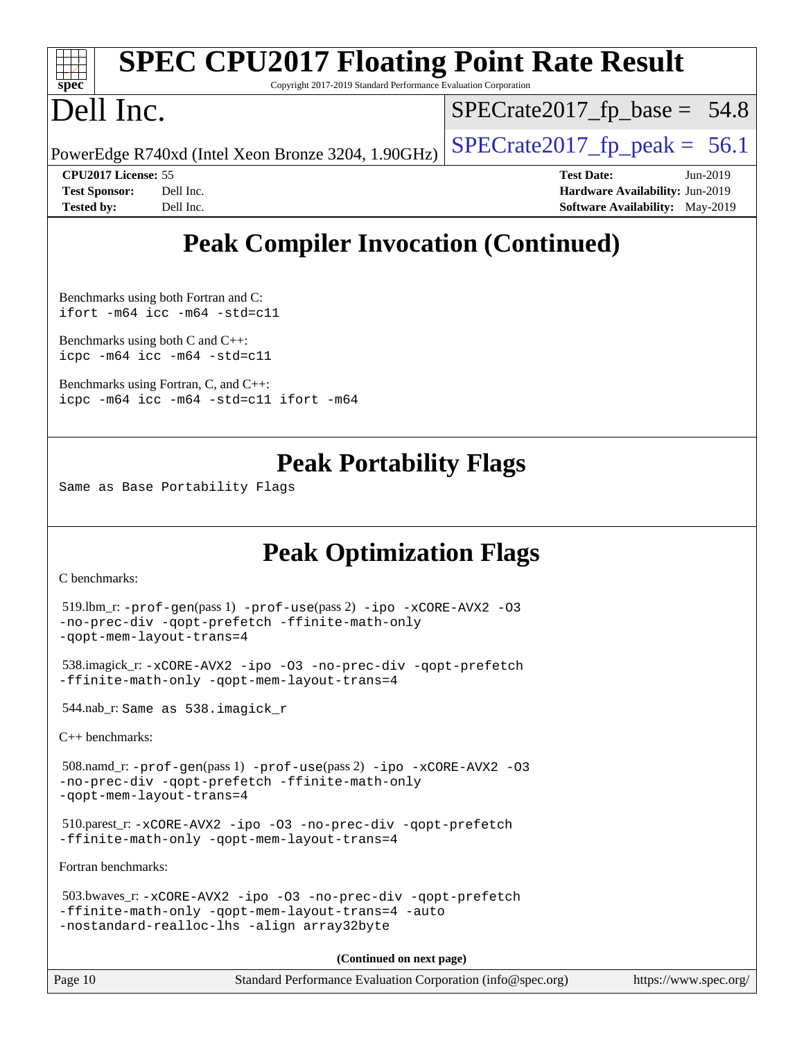| $Spec^*$             |                            | <b>SPEC CPU2017 Floating Point Rate Result</b><br>Copyright 2017-2019 Standard Performance Evaluation Corporation |                                |                   |                                        |            |
|----------------------|----------------------------|-------------------------------------------------------------------------------------------------------------------|--------------------------------|-------------------|----------------------------------------|------------|
| Dell Inc.            |                            |                                                                                                                   | $SPECrate2017_fp\_base = 54.8$ |                   |                                        |            |
|                      |                            | PowerEdge R740xd (Intel Xeon Bronze 3204, 1.90GHz)                                                                | $ SPECrate2017_fp_peak = 56.1$ |                   |                                        |            |
|                      | <b>CPU2017 License: 55</b> |                                                                                                                   |                                | <b>Test Date:</b> |                                        | $Jun-2019$ |
| <b>Test Sponsor:</b> | Dell Inc.                  |                                                                                                                   |                                |                   | Hardware Availability: Jun-2019        |            |
| <b>Tested by:</b>    | Dell Inc.                  |                                                                                                                   |                                |                   | <b>Software Availability:</b> May-2019 |            |

# **[Peak Compiler Invocation \(Continued\)](http://www.spec.org/auto/cpu2017/Docs/result-fields.html#PeakCompilerInvocation)**

[Benchmarks using both Fortran and C](http://www.spec.org/auto/cpu2017/Docs/result-fields.html#BenchmarksusingbothFortranandC): [ifort -m64](http://www.spec.org/cpu2017/results/res2019q3/cpu2017-20190624-15469.flags.html#user_CC_FCpeak_intel_ifort_64bit_24f2bb282fbaeffd6157abe4f878425411749daecae9a33200eee2bee2fe76f3b89351d69a8130dd5949958ce389cf37ff59a95e7a40d588e8d3a57e0c3fd751) [icc -m64 -std=c11](http://www.spec.org/cpu2017/results/res2019q3/cpu2017-20190624-15469.flags.html#user_CC_FCpeak_intel_icc_64bit_c11_33ee0cdaae7deeeab2a9725423ba97205ce30f63b9926c2519791662299b76a0318f32ddfffdc46587804de3178b4f9328c46fa7c2b0cd779d7a61945c91cd35)

[Benchmarks using both C and C++](http://www.spec.org/auto/cpu2017/Docs/result-fields.html#BenchmarksusingbothCandCXX): [icpc -m64](http://www.spec.org/cpu2017/results/res2019q3/cpu2017-20190624-15469.flags.html#user_CC_CXXpeak_intel_icpc_64bit_4ecb2543ae3f1412ef961e0650ca070fec7b7afdcd6ed48761b84423119d1bf6bdf5cad15b44d48e7256388bc77273b966e5eb805aefd121eb22e9299b2ec9d9) [icc -m64 -std=c11](http://www.spec.org/cpu2017/results/res2019q3/cpu2017-20190624-15469.flags.html#user_CC_CXXpeak_intel_icc_64bit_c11_33ee0cdaae7deeeab2a9725423ba97205ce30f63b9926c2519791662299b76a0318f32ddfffdc46587804de3178b4f9328c46fa7c2b0cd779d7a61945c91cd35)

[Benchmarks using Fortran, C, and C++:](http://www.spec.org/auto/cpu2017/Docs/result-fields.html#BenchmarksusingFortranCandCXX) [icpc -m64](http://www.spec.org/cpu2017/results/res2019q3/cpu2017-20190624-15469.flags.html#user_CC_CXX_FCpeak_intel_icpc_64bit_4ecb2543ae3f1412ef961e0650ca070fec7b7afdcd6ed48761b84423119d1bf6bdf5cad15b44d48e7256388bc77273b966e5eb805aefd121eb22e9299b2ec9d9) [icc -m64 -std=c11](http://www.spec.org/cpu2017/results/res2019q3/cpu2017-20190624-15469.flags.html#user_CC_CXX_FCpeak_intel_icc_64bit_c11_33ee0cdaae7deeeab2a9725423ba97205ce30f63b9926c2519791662299b76a0318f32ddfffdc46587804de3178b4f9328c46fa7c2b0cd779d7a61945c91cd35) [ifort -m64](http://www.spec.org/cpu2017/results/res2019q3/cpu2017-20190624-15469.flags.html#user_CC_CXX_FCpeak_intel_ifort_64bit_24f2bb282fbaeffd6157abe4f878425411749daecae9a33200eee2bee2fe76f3b89351d69a8130dd5949958ce389cf37ff59a95e7a40d588e8d3a57e0c3fd751)

## **[Peak Portability Flags](http://www.spec.org/auto/cpu2017/Docs/result-fields.html#PeakPortabilityFlags)**

Same as Base Portability Flags

# **[Peak Optimization Flags](http://www.spec.org/auto/cpu2017/Docs/result-fields.html#PeakOptimizationFlags)**

[C benchmarks](http://www.spec.org/auto/cpu2017/Docs/result-fields.html#Cbenchmarks):

```
 519.lbm_r: -prof-gen(pass 1) -prof-use(pass 2) -ipo -xCORE-AVX2 -O3
-no-prec-div -qopt-prefetch -ffinite-math-only
-qopt-mem-layout-trans=4
 538.imagick_r: -xCORE-AVX2 -ipo -O3 -no-prec-div -qopt-prefetch
-ffinite-math-only -qopt-mem-layout-trans=4
 544.nab_r: Same as 538.imagick_r
C++ benchmarks: 
 508.namd_r: -prof-gen(pass 1) -prof-use(pass 2) -ipo -xCORE-AVX2 -O3
-no-prec-div -qopt-prefetch -ffinite-math-only
-qopt-mem-layout-trans=4
 510.parest_r: -xCORE-AVX2 -ipo -O3 -no-prec-div -qopt-prefetch
-ffinite-math-only -qopt-mem-layout-trans=4
Fortran benchmarks: 
 503.bwaves_r: -xCORE-AVX2 -ipo -O3 -no-prec-div -qopt-prefetch
-ffinite-math-only -qopt-mem-layout-trans=4 -auto
-nostandard-realloc-lhs -align array32byte
```
**(Continued on next page)**